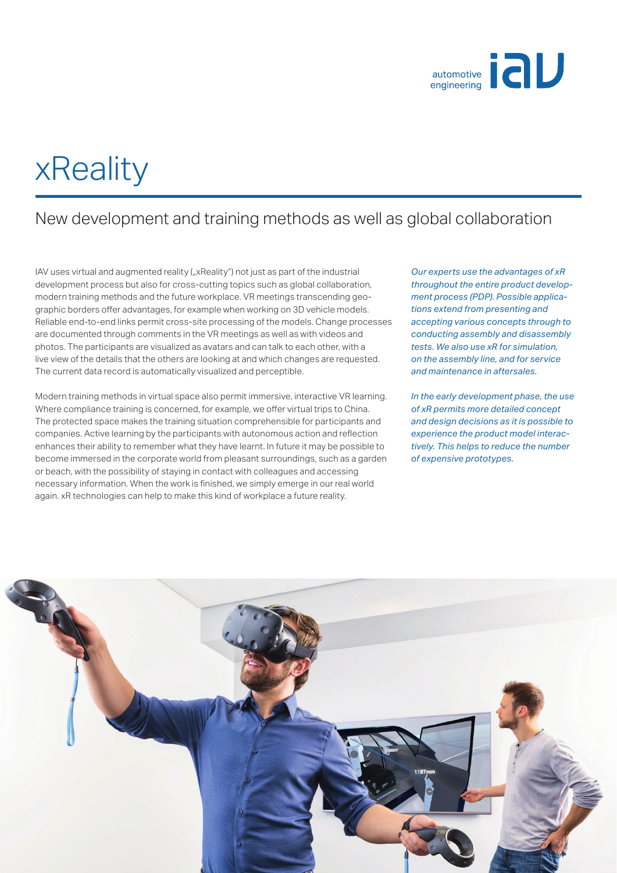

# xReality

### New development and training methods as well as global collaboration

IAV uses virtual and augmented reality ("xReality") not just as part of the industrial development process but also for cross-cutting topics such as global collaboration, modern training methods and the future workplace. VR meetings transcending geographic borders offer advantages, for example when working on 3D vehicle models. Reliable end-to-end links permit cross-site processing of the models. Change processes are documented through comments in the VR meetings as well as with videos and photos. The participants are visualized as avatars and can talk to each other, with a live view of the details that the others are looking at and which changes are requested. The current data record is automatically visualized and perceptible.

Modern training methods in virtual space also permit immersive, interactive VR learning. Where compliance training is concerned, for example, we offer virtual trips to China. The protected space makes the training situation comprehensible for participants and companies. Active learning by the participants with autonomous action and reflection enhances their ability to remember what they have learnt. In future it may be possible to become immersed in the corporate world from pleasant surroundings, such as a garden or beach, with the possibility of staying in contact with colleagues and accessing necessary information. When the work is finished, we simply emerge in our real world again. xR technologies can help to make this kind of workplace a future reality.

*Our experts use the advantages of xR throughout the entire product development process (PDP). Possible applications extend from presenting and accepting various concepts through to conducting assembly and disassembly tests. We also use xR for simulation, on the assembly line, and for service and maintenance in aftersales.*

*In the early development phase, the use of xR permits more detailed concept and design decisions as it is possible to experience the product model interactively. This helps to reduce the number of expensive prototypes.*